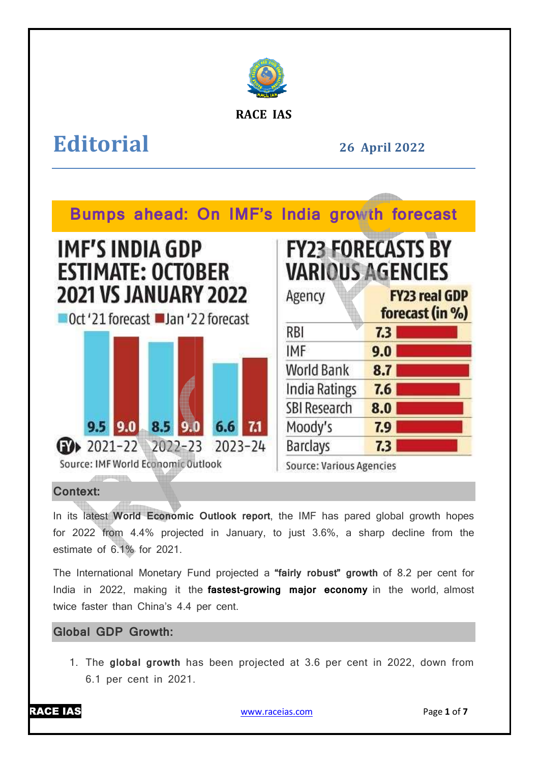

**RACE IAS**

# **Editorial**

**26 April April 2022** 



# **Context:**

In its latest **World Economic Outlook report** , the IMF has pared global growth hopes for 2022 from 4.4% projected in January, to just 3.6%, a sharp decline from the estimate of 6.1% for 2021.

The International Monetary Fund projected a **"fairly robust" growth** of 8.2 per cent for India in 2022, making it the **fastest-growing major economy** in the world, almost twice faster than China's 4.4 per cent.

# **Global GDP Growth:**

1. The **global growth** has been projected at 3.6 per cent in 2022, down from 6.1 per cent in 2021.



www.raceias.com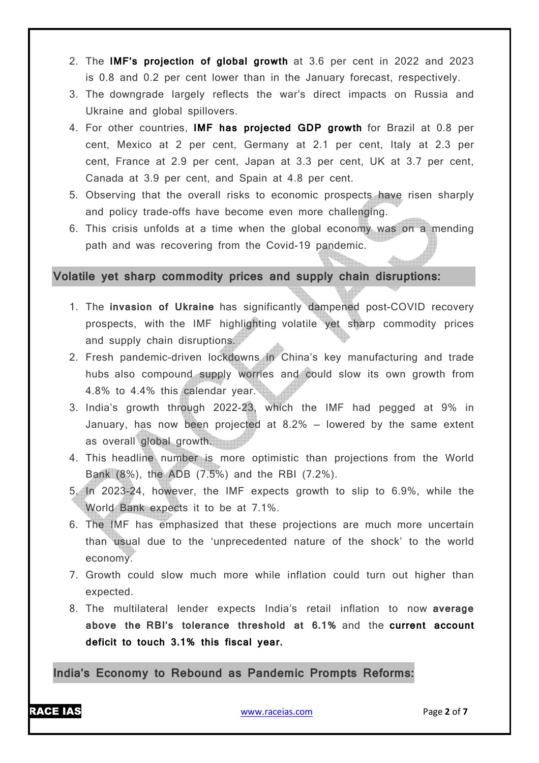- 2. The **IMF's projection of global growth** at 3.6 per cent in 2022 and 2023 is 0.8 and 0.2 per cent lower than in the January forecast, respectively.
- 3. The downgrade largely reflects the war's direct impacts on Russia and Ukraine and global spillovers.
- 4. For other countries, **IMF has projected GDP growth** for Brazil at 0.8 per cent, Mexico at 2 per cent, Germany at 2.1 per cent, Italy at 2.3 per cent, France at 2.9 per cent, Japan at 3.3 per cent, UK at 3.7 per cent, Canada at 3.9 per cent, and Spain at 4.8 per cent.
- 5. Observing that the overall risks to economic prospects have risen sharply and policy trade-offs have become even more challenging.
- 6. This crisis unfolds at a time when the global economy was on a mending path and was recovering from the Covid-19 pandemic.

## **Volatile yet sharp commodity prices and supply chain disruptions:**

- 1. The **invasion of Ukraine** has significantly dampened post-COVID recovery prospects, with the IMF highlighting volatile yet sharp commodity prices and supply chain disruptions.
- 2. Fresh pandemic-driven lockdowns in China's key manufacturing and trade hubs also compound supply worries and could slow its own growth from 4.8% to 4.4% this calendar year.
- 3. India's growth through 2022-23, which the IMF had pegged at 9% in January, has now been projected at 8.2% — lowered by the same extent as overall global growth.
- 4. This headline number is more optimistic than projections from the World Bank (8%), the ADB (7.5%) and the RBI (7.2%).
- 5. In 2023-24, however, the IMF expects growth to slip to 6.9%, while the World Bank expects it to be at 7.1%.
- 6. The IMF has emphasized that these projections are much more uncertain than usual due to the 'unprecedented nature of the shock' to the world economy.
- 7. Growth could slow much more while inflation could turn out higher than expected.
- 8. The multilateral lender expects India's retail inflation to now **average above the RBI's tolerance threshold at 6.1%** and the **current account deficit to touch 3.1% this fiscal year.**

**India's Economy to Rebound as Pandemic Prompts Reforms:**

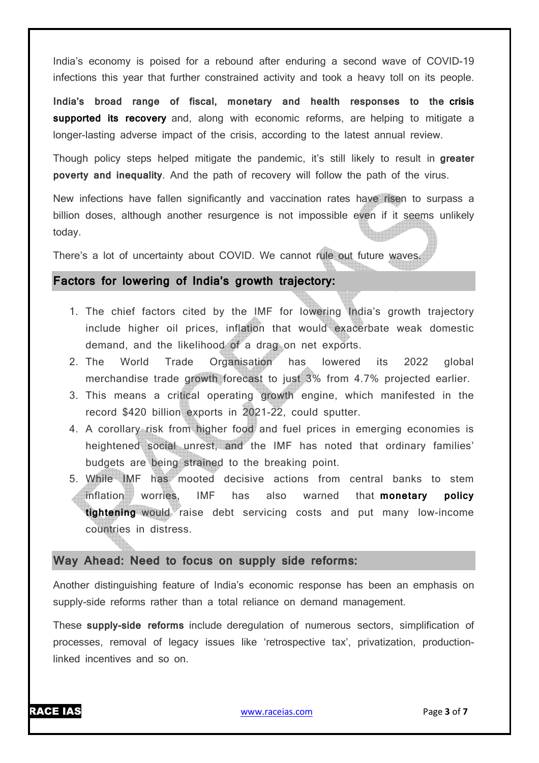India's economy is poised for a rebound after enduring a second wave of COVID-19 infections this year that further constrained activity and took a heavy toll on its people.

**India's broad range of fiscal, monetary and health responses to the crisis supported its recovery** and, along with economic reforms, are helping to mitigate a longer-lasting adverse impact of the crisis, according to the latest annual review.

Though policy steps helped mitigate the pandemic, it's still likely to result in **greater poverty and inequality**. And the path of recovery will follow the path of the virus.

New infections have fallen significantly and vaccination rates have risen to surpass a billion doses, although another resurgence is not impossible even if it seems unlikely today.

There's a lot of uncertainty about COVID. We cannot rule out future waves.

## **Factors for lowering of India's growth trajectory:**

- 1. The chief factors cited by the IMF for lowering India's growth trajectory include higher oil prices, inflation that would exacerbate weak domestic demand, and the likelihood of a drag on net exports.
- 2. The World Trade Organisation has lowered its 2022 global merchandise trade growth forecast to just 3% from 4.7% projected earlier.
- 3. This means a critical operating growth engine, which manifested in the record \$420 billion exports in 2021-22, could sputter.
- 4. A corollary risk from higher food and fuel prices in emerging economies is heightened social unrest, and the IMF has noted that ordinary families' budgets are being strained to the breaking point.
- 5. While IMF has mooted decisive actions from central banks to stem inflation worries, IMF has also warned that **monetary policy tightening** would raise debt servicing costs and put many low-income countries in distress.

## **Way Ahead: Need to focus on supply side reforms:**

Another distinguishing feature of India's economic response has been an emphasis on supply-side reforms rather than a total reliance on demand management.

These **supply-side reforms** include deregulation of numerous sectors, simplification of processes, removal of legacy issues like 'retrospective tax', privatization, productionlinked incentives and so on.

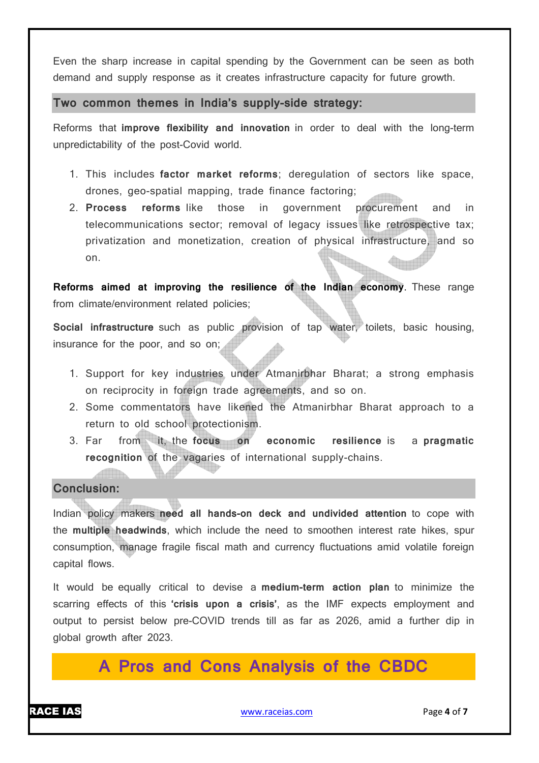Even the sharp increase in capital spending by the Government can be seen as both demand and supply response as it creates infrastructure capacity for future growth.

**Two common themes in India's supply-side strategy:**

Reforms that **improve flexibility and innovation** in order to deal with the long-term unpredictability of the post-Covid world.

- 1. This includes **factor market reforms**; deregulation of sectors like space, drones, geo-spatial mapping, trade finance factoring;
- 2. **Process reforms** like those in government procurement and in telecommunications sector; removal of legacy issues like retrospective tax; privatization and monetization, creation of physical infrastructure, and so on.

**Reforms aimed at improving the resilience of the Indian economy**. These range from climate/environment related policies;

**Social infrastructure** such as public provision of tap water, toilets, basic housing, insurance for the poor, and so on;

- 1. Support for key industries under Atmanirbhar Bharat; a strong emphasis on reciprocity in foreign trade agreements, and so on.
- 2. Some commentators have likened the Atmanirbhar Bharat approach to a return to old school protectionism.
- 3. Far from it, the **focus on economic resilience** is a **pragmatic recognition** of the vagaries of international supply-chains.

#### **Conclusion:**

Indian policy makers **need all hands-on deck and undivided attention** to cope with the **multiple headwinds**, which include the need to smoothen interest rate hikes, spur consumption, manage fragile fiscal math and currency fluctuations amid volatile foreign capital flows.

It would be equally critical to devise a **medium-term action plan** to minimize the scarring effects of this **'crisis upon a crisis'**, as the IMF expects employment and output to persist below pre-COVID trends till as far as 2026, amid a further dip in global growth after 2023.

**A Pros and Cons Analysis of the CBDC** 

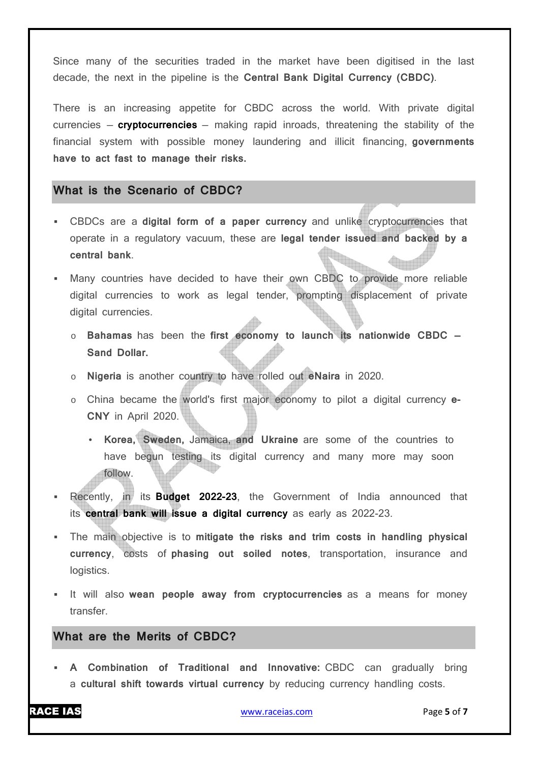Since many of the securities traded in the market have been digitised in the last decade, the next in the pipeline is the **Central Bank Digital Currency (CBDC)**.

There is an increasing appetite for CBDC across the world. With private digital currencies — **cryptocurrencies** — making rapid inroads, threatening the stability of the financial system with possible money laundering and illicit financing, **governments have to act fast to manage their risks.**

## **What is the Scenario of CBDC?**

- CBDCs are a **digital form of a paper currency** and unlike cryptocurrencies that operate in a regulatory vacuum, these are **legal tender issued and backed by a central bank**.
- Many countries have decided to have their own CBDC to provide more reliable digital currencies to work as legal tender, prompting displacement of private digital currencies.
	- o **Bahamas** has been the **first economy to launch its nationwide CBDC Sand Dollar.**
	- o **Nigeria** is another country to have rolled out **eNaira** in 2020.
	- o China became the world's first major economy to pilot a digital currency **e-CNY** in April 2020.
		- **Korea, Sweden,** Jamaica, **and Ukraine** are some of the countries to have begun testing its digital currency and many more may soon follow.
- Recently, in its **Budget 2022-23**, the Government of India announced that its **central bank will issue a digital currency** as early as 2022-23.
- The main objective is to **mitigate the risks and trim costs in handling physical currency**, costs of **phasing out soiled notes**, transportation, insurance and logistics.
- It will also **wean people away from cryptocurrencies** as a means for money transfer.

### **What are the Merits of CBDC?**

 **A Combination of Traditional and Innovative:** CBDC can gradually bring a **cultural shift towards virtual currency** by reducing currency handling costs.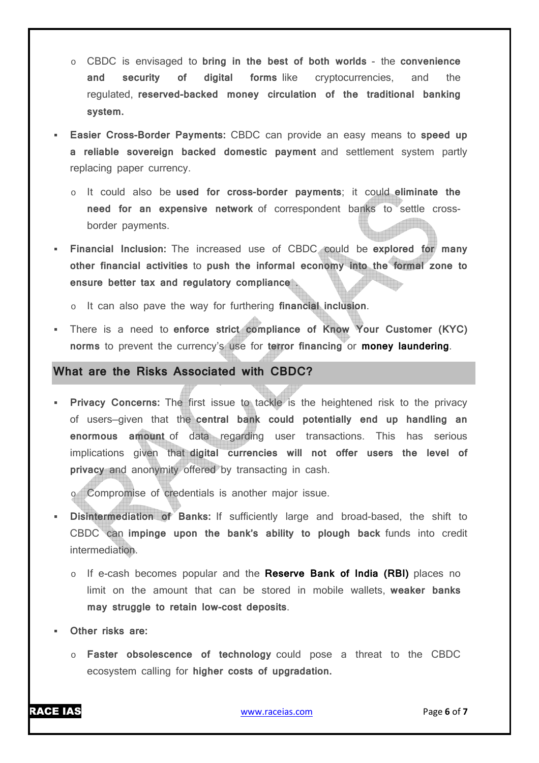- o CBDC is envisaged to **bring in the best of both worlds** the **convenience and security of digital forms** like cryptocurrencies, and the regulated, **reserved-backed money circulation of the traditional banking system.**
- **Easier Cross-Border Payments:** CBDC can provide an easy means to **speed up a reliable sovereign backed domestic payment** and settlement system partly replacing paper currency.
	- o It could also be **used for cross-border payments**; it could **eliminate the need for an expensive network** of correspondent banks to settle crossborder payments.
- **Financial Inclusion:** The increased use of CBDC could be **explored for many other financial activities** to **push the informal economy into the formal zone to ensure better tax and regulatory compliance** .
	- o It can also pave the way for furthering **financial inclusion**.
- There is a need to **enforce strict compliance of Know Your Customer (KYC) norms** to prevent the currency's use for **terror financing** or **money laundering**.

#### **What are the Risks Associated with CBDC?**

**Privacy Concerns:** The first issue to tackle is the heightened risk to the privacy of users—given that the **central bank could potentially end up handling an enormous amount** of data regarding user transactions. This has serious implications given that **digital currencies will not offer users the level of privacy** and anonymity offered by transacting in cash.

o Compromise of credentials is another major issue.

- **Disintermediation of Banks:** If sufficiently large and broad-based, the shift to CBDC can **impinge upon the bank's ability to plough back** funds into credit intermediation.
	- o If e-cash becomes popular and the **Reserve Bank of India (RBI)** places no limit on the amount that can be stored in mobile wallets, **weaker banks may struggle to retain low-cost deposits**.
- **Other risks are:**
	- o **Faster obsolescence of technology** could pose a threat to the CBDC ecosystem calling for **higher costs of upgradation.**